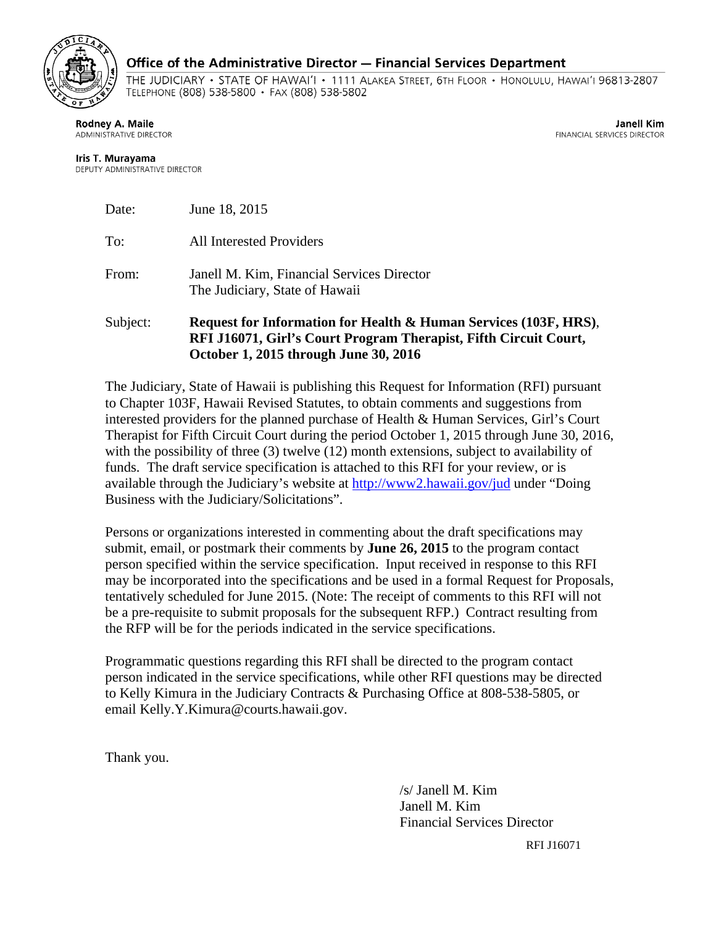

#### Office of the Administrative Director - Financial Services Department

.<br>The Judiciary • State of Hawai'i • 1111 Alakea Street, 6th Floor • Honolulu, Hawai'i 96813-2807 TELEPHONE (808) 538-5800 · FAX (808) 538-5802

Rodney A. Maile ADMINISTRATIVE DIRECTOR

Janell Kim FINANCIAL SERVICES DIRECTOR

Iris T. Muravama DEPUTY ADMINISTRATIVE DIRECTOR

| Subject: | <b>Request for Information for Health &amp; Human Services (103F, HRS),</b><br>RFI J16071, Girl's Court Program Therapist, Fifth Circuit Court,<br>October 1, 2015 through June 30, 2016 |
|----------|------------------------------------------------------------------------------------------------------------------------------------------------------------------------------------------|
| From:    | Janell M. Kim, Financial Services Director<br>The Judiciary, State of Hawaii                                                                                                             |
| To:      | All Interested Providers                                                                                                                                                                 |
| Date:    | June 18, 2015                                                                                                                                                                            |

The Judiciary, State of Hawaii is publishing this Request for Information (RFI) pursuant to Chapter 103F, Hawaii Revised Statutes, to obtain comments and suggestions from interested providers for the planned purchase of Health & Human Services, Girl's Court Therapist for Fifth Circuit Court during the period October 1, 2015 through June 30, 2016, with the possibility of three (3) twelve (12) month extensions, subject to availability of funds. The draft service specification is attached to this RFI for your review, or is available through the Judiciary's website at http://www2.hawaii.gov/jud under "Doing Business with the Judiciary/Solicitations".

Persons or organizations interested in commenting about the draft specifications may submit, email, or postmark their comments by **June 26, 2015** to the program contact person specified within the service specification. Input received in response to this RFI may be incorporated into the specifications and be used in a formal Request for Proposals, tentatively scheduled for June 2015. (Note: The receipt of comments to this RFI will not be a pre-requisite to submit proposals for the subsequent RFP.) Contract resulting from the RFP will be for the periods indicated in the service specifications.

Programmatic questions regarding this RFI shall be directed to the program contact person indicated in the service specifications, while other RFI questions may be directed to Kelly Kimura in the Judiciary Contracts & Purchasing Office at 808-538-5805, or email Kelly.Y.Kimura@courts.hawaii.gov.

Thank you.

 /s/ Janell M. Kim Janell M. Kim Financial Services Director

RFI J16071 **RFI J16071**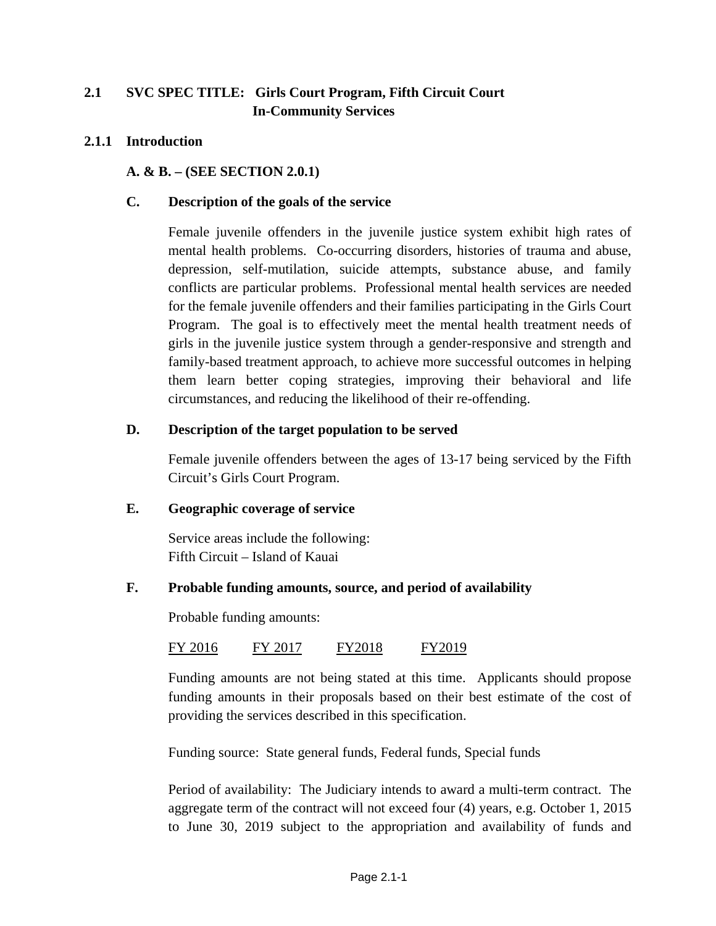# **2.1 SVC SPEC TITLE: Girls Court Program, Fifth Circuit Court In-Community Services**

#### **2.1.1 Introduction**

#### **A. & B. – (SEE SECTION 2.0.1)**

#### **C. Description of the goals of the service**

Female juvenile offenders in the juvenile justice system exhibit high rates of mental health problems. Co-occurring disorders, histories of trauma and abuse, depression, self-mutilation, suicide attempts, substance abuse, and family conflicts are particular problems. Professional mental health services are needed for the female juvenile offenders and their families participating in the Girls Court Program. The goal is to effectively meet the mental health treatment needs of girls in the juvenile justice system through a gender-responsive and strength and family-based treatment approach, to achieve more successful outcomes in helping them learn better coping strategies, improving their behavioral and life circumstances, and reducing the likelihood of their re-offending.

#### **D. Description of the target population to be served**

Female juvenile offenders between the ages of 13-17 being serviced by the Fifth Circuit's Girls Court Program.

### **E. Geographic coverage of service**

Service areas include the following: Fifth Circuit – Island of Kauai

### **F. Probable funding amounts, source, and period of availability**

Probable funding amounts:

FY 2016 FY 2017 FY2018 FY2019

Funding amounts are not being stated at this time. Applicants should propose funding amounts in their proposals based on their best estimate of the cost of providing the services described in this specification.

Funding source: State general funds, Federal funds, Special funds

Period of availability: The Judiciary intends to award a multi-term contract. The aggregate term of the contract will not exceed four (4) years, e.g. October 1, 2015 to June 30, 2019 subject to the appropriation and availability of funds and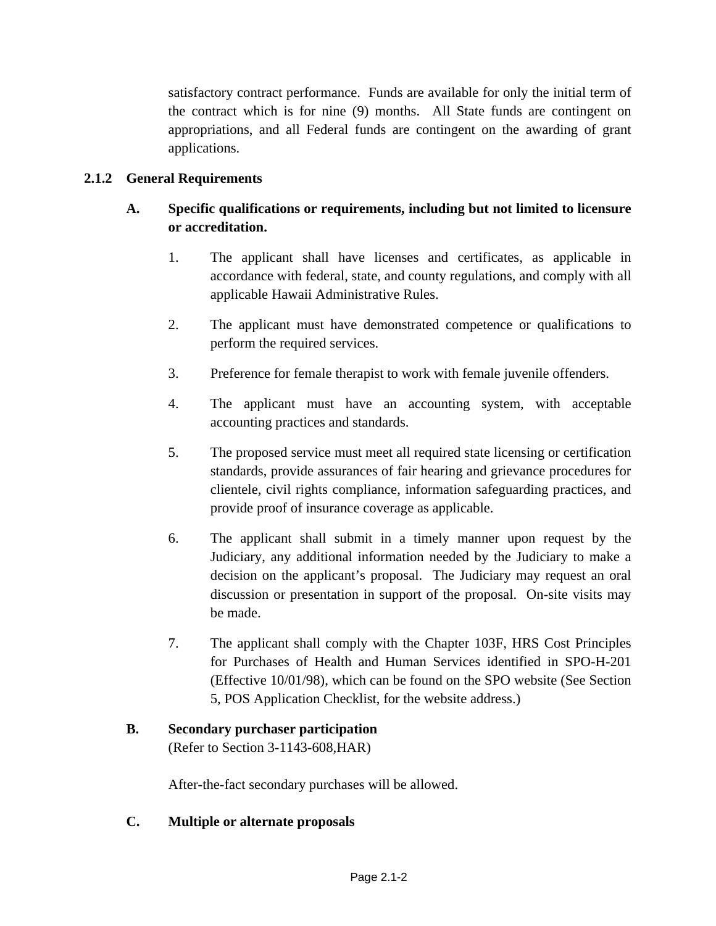satisfactory contract performance. Funds are available for only the initial term of the contract which is for nine (9) months. All State funds are contingent on appropriations, and all Federal funds are contingent on the awarding of grant applications.

# **2.1.2 General Requirements**

# **A. Specific qualifications or requirements, including but not limited to licensure or accreditation.**

- 1. The applicant shall have licenses and certificates, as applicable in accordance with federal, state, and county regulations, and comply with all applicable Hawaii Administrative Rules.
- 2. The applicant must have demonstrated competence or qualifications to perform the required services.
- 3. Preference for female therapist to work with female juvenile offenders.
- 4. The applicant must have an accounting system, with acceptable accounting practices and standards.
- 5. The proposed service must meet all required state licensing or certification standards, provide assurances of fair hearing and grievance procedures for clientele, civil rights compliance, information safeguarding practices, and provide proof of insurance coverage as applicable.
- 6. The applicant shall submit in a timely manner upon request by the Judiciary, any additional information needed by the Judiciary to make a decision on the applicant's proposal. The Judiciary may request an oral discussion or presentation in support of the proposal. On-site visits may be made.
- 7. The applicant shall comply with the Chapter 103F, HRS Cost Principles for Purchases of Health and Human Services identified in SPO-H-201 (Effective 10/01/98), which can be found on the SPO website (See Section 5, POS Application Checklist, for the website address.)

# **B. Secondary purchaser participation**

(Refer to Section 3-1143-608,HAR)

After-the-fact secondary purchases will be allowed.

# **C. Multiple or alternate proposals**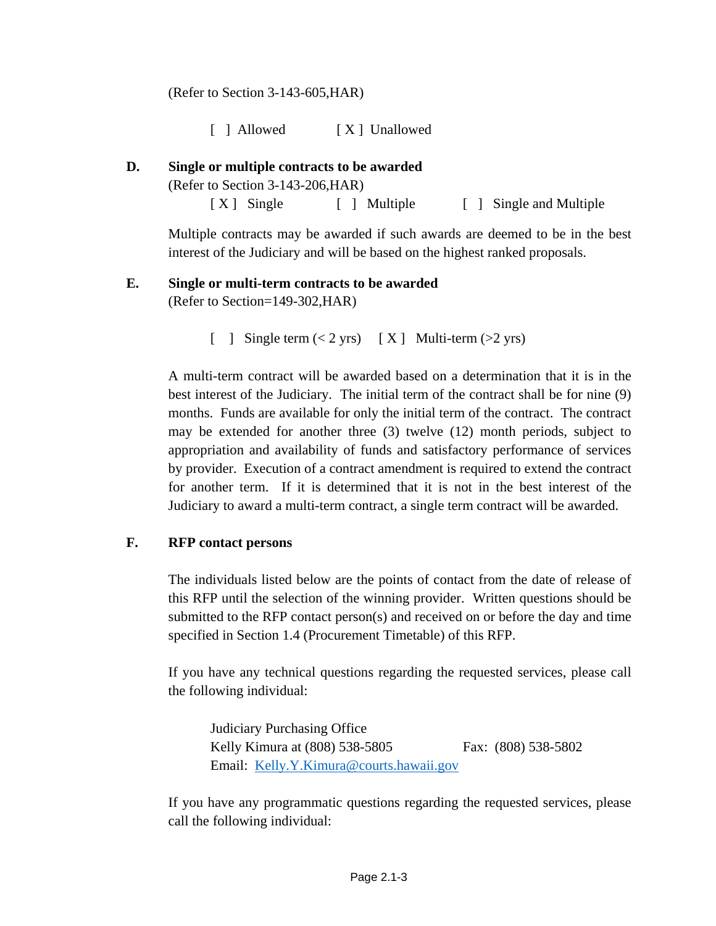(Refer to Section 3-143-605,HAR)

[ ] Allowed [ X ] Unallowed

# **D. Single or multiple contracts to be awarded**  (Refer to Section 3-143-206,HAR) [ X ] Single [ ] Multiple [ ] Single and Multiple

Multiple contracts may be awarded if such awards are deemed to be in the best interest of the Judiciary and will be based on the highest ranked proposals.

### **E. Single or multi-term contracts to be awarded**  (Refer to Section=149-302,HAR)

[ ] Single term  $(< 2 \text{ yrs})$  [ X ] Multi-term  $(>2 \text{ yrs})$ 

A multi-term contract will be awarded based on a determination that it is in the best interest of the Judiciary. The initial term of the contract shall be for nine (9) months. Funds are available for only the initial term of the contract. The contract may be extended for another three (3) twelve (12) month periods, subject to appropriation and availability of funds and satisfactory performance of services by provider. Execution of a contract amendment is required to extend the contract for another term. If it is determined that it is not in the best interest of the Judiciary to award a multi-term contract, a single term contract will be awarded.

# **F. RFP contact persons**

The individuals listed below are the points of contact from the date of release of this RFP until the selection of the winning provider. Written questions should be submitted to the RFP contact person(s) and received on or before the day and time specified in Section 1.4 (Procurement Timetable) of this RFP.

If you have any technical questions regarding the requested services, please call the following individual:

Judiciary Purchasing Office Kelly Kimura at (808) 538-5805<br>Fax: (808) 538-5802 Email: Kelly.Y.Kimura@courts.hawaii.gov

If you have any programmatic questions regarding the requested services, please call the following individual: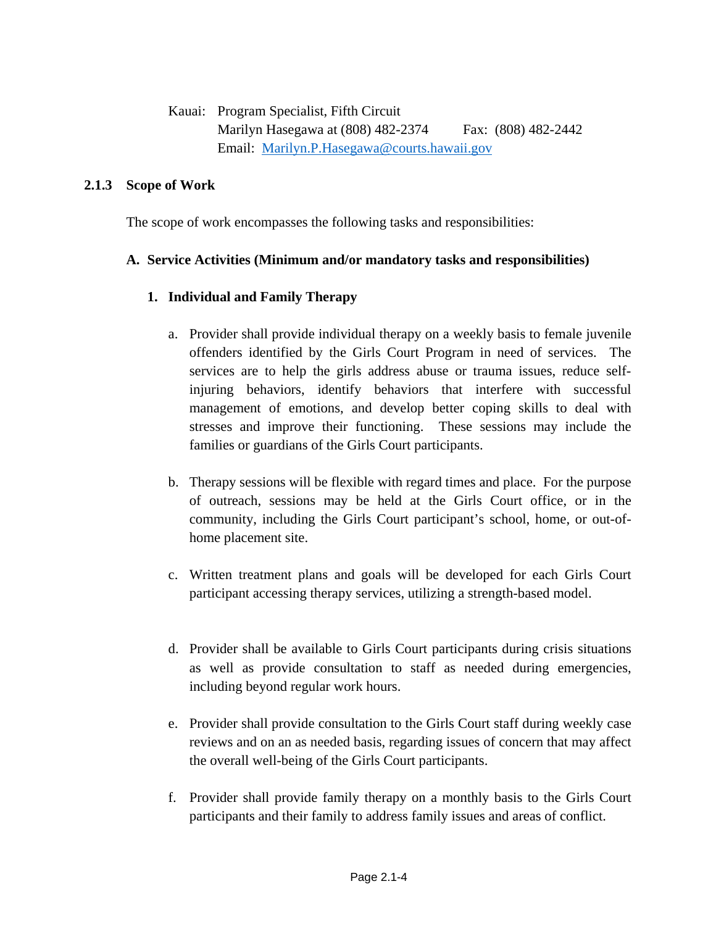# Kauai: Program Specialist, Fifth Circuit Marilyn Hasegawa at (808) 482-2374 Fax: (808) 482-2442 Email: Marilyn.P.Hasegawa@courts.hawaii.gov

### **2.1.3 Scope of Work**

The scope of work encompasses the following tasks and responsibilities:

### **A. Service Activities (Minimum and/or mandatory tasks and responsibilities)**

### **1. Individual and Family Therapy**

- a. Provider shall provide individual therapy on a weekly basis to female juvenile offenders identified by the Girls Court Program in need of services. The services are to help the girls address abuse or trauma issues, reduce selfinjuring behaviors, identify behaviors that interfere with successful management of emotions, and develop better coping skills to deal with stresses and improve their functioning. These sessions may include the families or guardians of the Girls Court participants.
- b. Therapy sessions will be flexible with regard times and place. For the purpose of outreach, sessions may be held at the Girls Court office, or in the community, including the Girls Court participant's school, home, or out-ofhome placement site.
- c. Written treatment plans and goals will be developed for each Girls Court participant accessing therapy services, utilizing a strength-based model.
- d. Provider shall be available to Girls Court participants during crisis situations as well as provide consultation to staff as needed during emergencies, including beyond regular work hours.
- e. Provider shall provide consultation to the Girls Court staff during weekly case reviews and on an as needed basis, regarding issues of concern that may affect the overall well-being of the Girls Court participants.
- f. Provider shall provide family therapy on a monthly basis to the Girls Court participants and their family to address family issues and areas of conflict.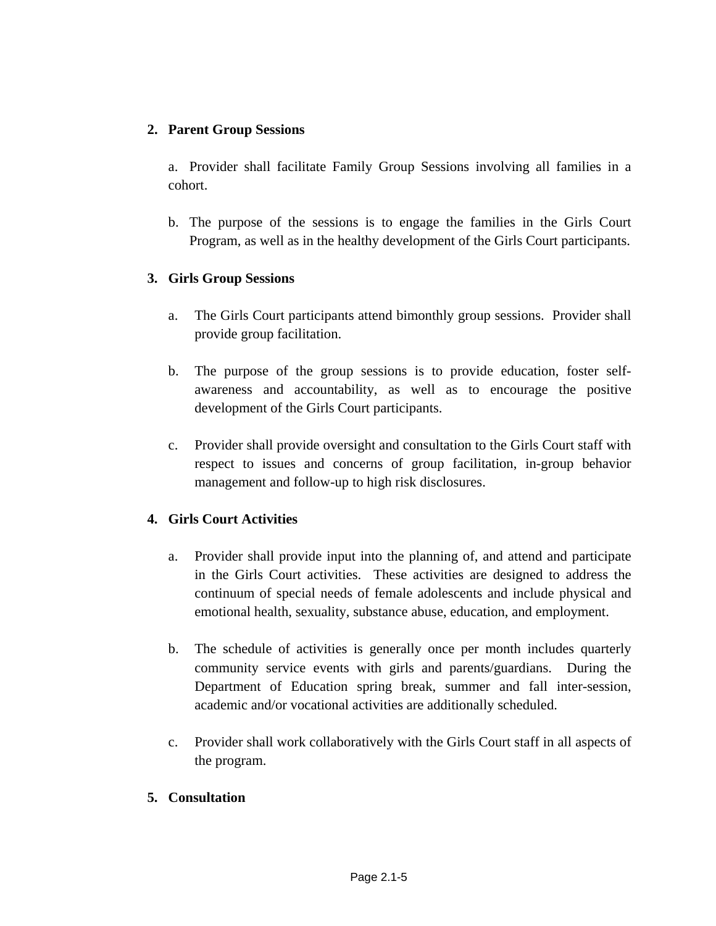#### **2. Parent Group Sessions**

a. Provider shall facilitate Family Group Sessions involving all families in a cohort.

b. The purpose of the sessions is to engage the families in the Girls Court Program, as well as in the healthy development of the Girls Court participants.

### **3. Girls Group Sessions**

- a. The Girls Court participants attend bimonthly group sessions. Provider shall provide group facilitation.
- b. The purpose of the group sessions is to provide education, foster selfawareness and accountability, as well as to encourage the positive development of the Girls Court participants.
- c. Provider shall provide oversight and consultation to the Girls Court staff with respect to issues and concerns of group facilitation, in-group behavior management and follow-up to high risk disclosures.

### **4. Girls Court Activities**

- a. Provider shall provide input into the planning of, and attend and participate in the Girls Court activities. These activities are designed to address the continuum of special needs of female adolescents and include physical and emotional health, sexuality, substance abuse, education, and employment.
- b. The schedule of activities is generally once per month includes quarterly community service events with girls and parents/guardians. During the Department of Education spring break, summer and fall inter-session, academic and/or vocational activities are additionally scheduled.
- c. Provider shall work collaboratively with the Girls Court staff in all aspects of the program.

#### **5. Consultation**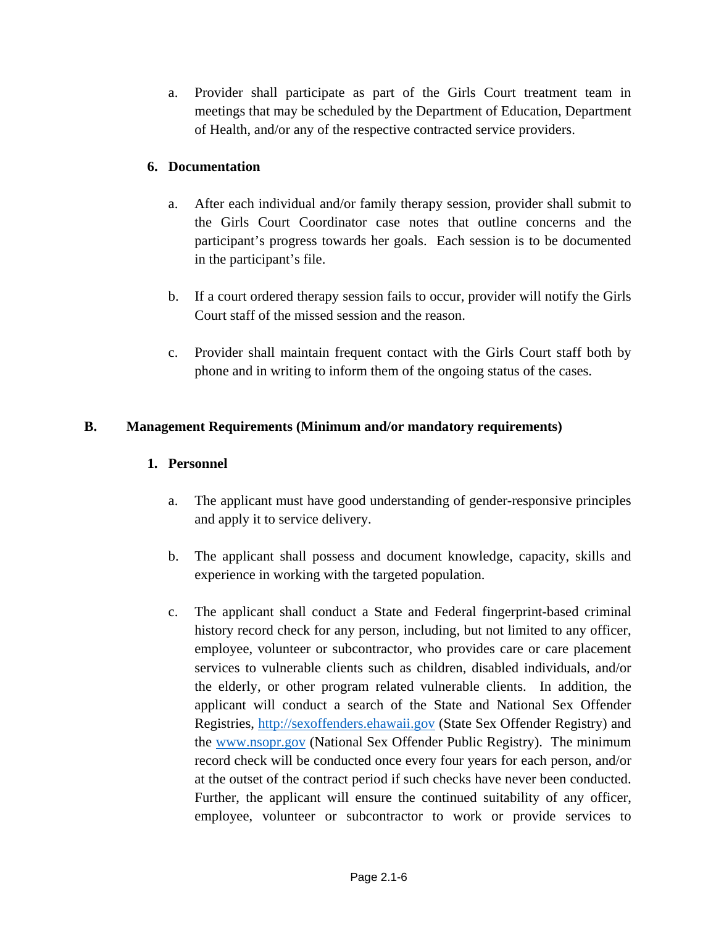a. Provider shall participate as part of the Girls Court treatment team in meetings that may be scheduled by the Department of Education, Department of Health, and/or any of the respective contracted service providers.

### **6. Documentation**

- a. After each individual and/or family therapy session, provider shall submit to the Girls Court Coordinator case notes that outline concerns and the participant's progress towards her goals. Each session is to be documented in the participant's file.
- b. If a court ordered therapy session fails to occur, provider will notify the Girls Court staff of the missed session and the reason.
- c. Provider shall maintain frequent contact with the Girls Court staff both by phone and in writing to inform them of the ongoing status of the cases.

### **B. Management Requirements (Minimum and/or mandatory requirements)**

### **1. Personnel**

- a. The applicant must have good understanding of gender-responsive principles and apply it to service delivery.
- b. The applicant shall possess and document knowledge, capacity, skills and experience in working with the targeted population.
- c. The applicant shall conduct a State and Federal fingerprint-based criminal history record check for any person, including, but not limited to any officer, employee, volunteer or subcontractor, who provides care or care placement services to vulnerable clients such as children, disabled individuals, and/or the elderly, or other program related vulnerable clients. In addition, the applicant will conduct a search of the State and National Sex Offender Registries, http://sexoffenders.ehawaii.gov (State Sex Offender Registry) and the www.nsopr.gov (National Sex Offender Public Registry). The minimum record check will be conducted once every four years for each person, and/or at the outset of the contract period if such checks have never been conducted. Further, the applicant will ensure the continued suitability of any officer, employee, volunteer or subcontractor to work or provide services to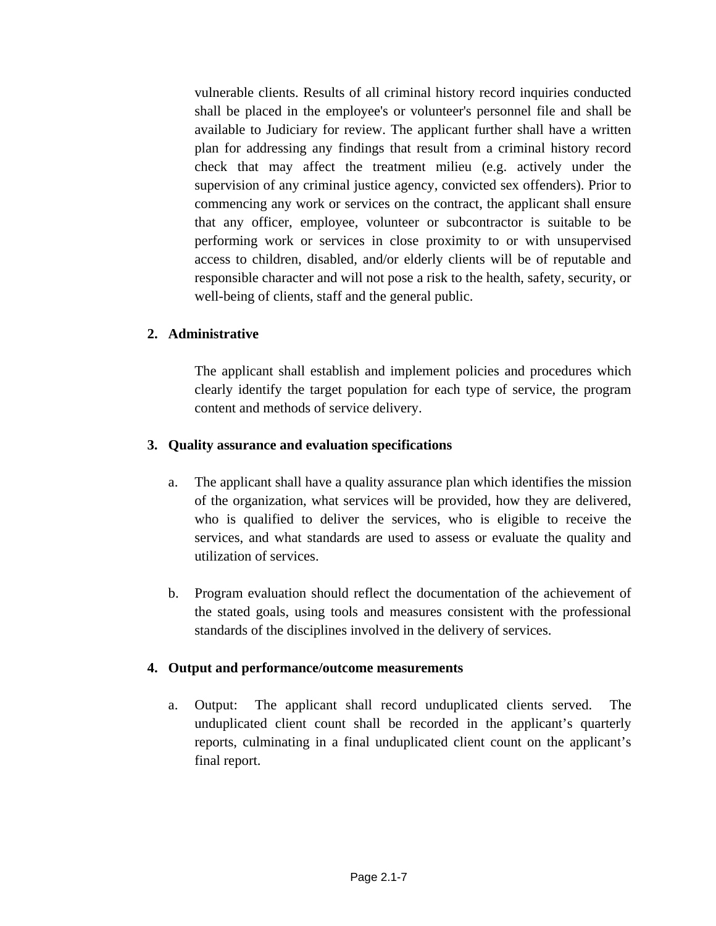vulnerable clients. Results of all criminal history record inquiries conducted shall be placed in the employee's or volunteer's personnel file and shall be available to Judiciary for review. The applicant further shall have a written plan for addressing any findings that result from a criminal history record check that may affect the treatment milieu (e.g. actively under the supervision of any criminal justice agency, convicted sex offenders). Prior to commencing any work or services on the contract, the applicant shall ensure that any officer, employee, volunteer or subcontractor is suitable to be performing work or services in close proximity to or with unsupervised access to children, disabled, and/or elderly clients will be of reputable and responsible character and will not pose a risk to the health, safety, security, or well-being of clients, staff and the general public.

### **2. Administrative**

The applicant shall establish and implement policies and procedures which clearly identify the target population for each type of service, the program content and methods of service delivery.

### **3. Quality assurance and evaluation specifications**

- a. The applicant shall have a quality assurance plan which identifies the mission of the organization, what services will be provided, how they are delivered, who is qualified to deliver the services, who is eligible to receive the services, and what standards are used to assess or evaluate the quality and utilization of services.
- b. Program evaluation should reflect the documentation of the achievement of the stated goals, using tools and measures consistent with the professional standards of the disciplines involved in the delivery of services.

### **4. Output and performance/outcome measurements**

a. Output: The applicant shall record unduplicated clients served. The unduplicated client count shall be recorded in the applicant's quarterly reports, culminating in a final unduplicated client count on the applicant's final report.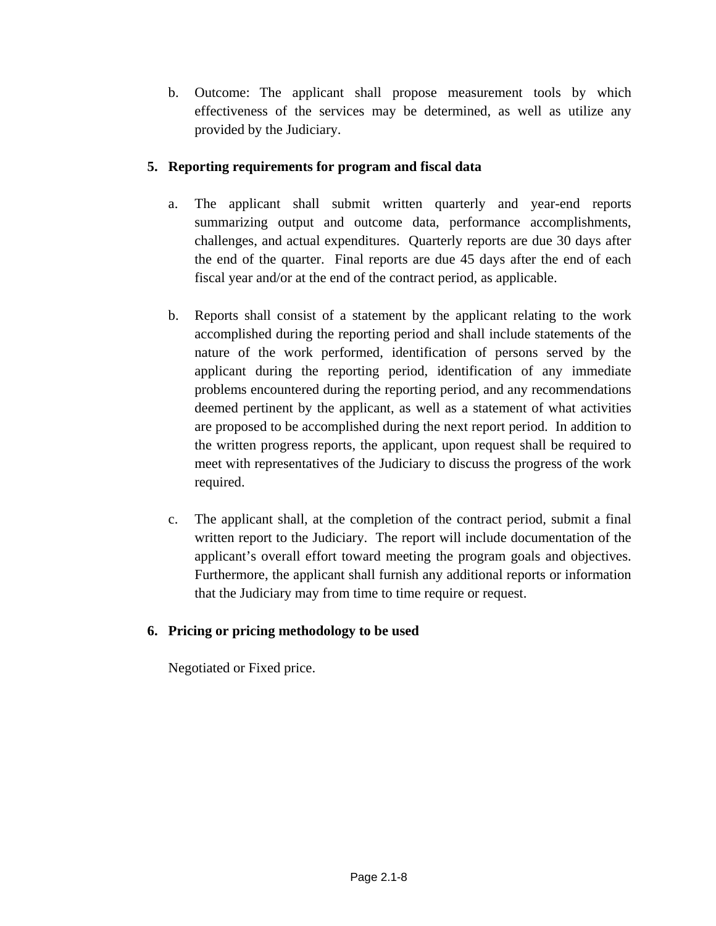b. Outcome: The applicant shall propose measurement tools by which effectiveness of the services may be determined, as well as utilize any provided by the Judiciary.

### **5. Reporting requirements for program and fiscal data**

- a. The applicant shall submit written quarterly and year-end reports summarizing output and outcome data, performance accomplishments, challenges, and actual expenditures. Quarterly reports are due 30 days after the end of the quarter. Final reports are due 45 days after the end of each fiscal year and/or at the end of the contract period, as applicable.
- b. Reports shall consist of a statement by the applicant relating to the work accomplished during the reporting period and shall include statements of the nature of the work performed, identification of persons served by the applicant during the reporting period, identification of any immediate problems encountered during the reporting period, and any recommendations deemed pertinent by the applicant, as well as a statement of what activities are proposed to be accomplished during the next report period. In addition to the written progress reports, the applicant, upon request shall be required to meet with representatives of the Judiciary to discuss the progress of the work required.
- c. The applicant shall, at the completion of the contract period, submit a final written report to the Judiciary. The report will include documentation of the applicant's overall effort toward meeting the program goals and objectives. Furthermore, the applicant shall furnish any additional reports or information that the Judiciary may from time to time require or request.

### **6. Pricing or pricing methodology to be used**

Negotiated or Fixed price.